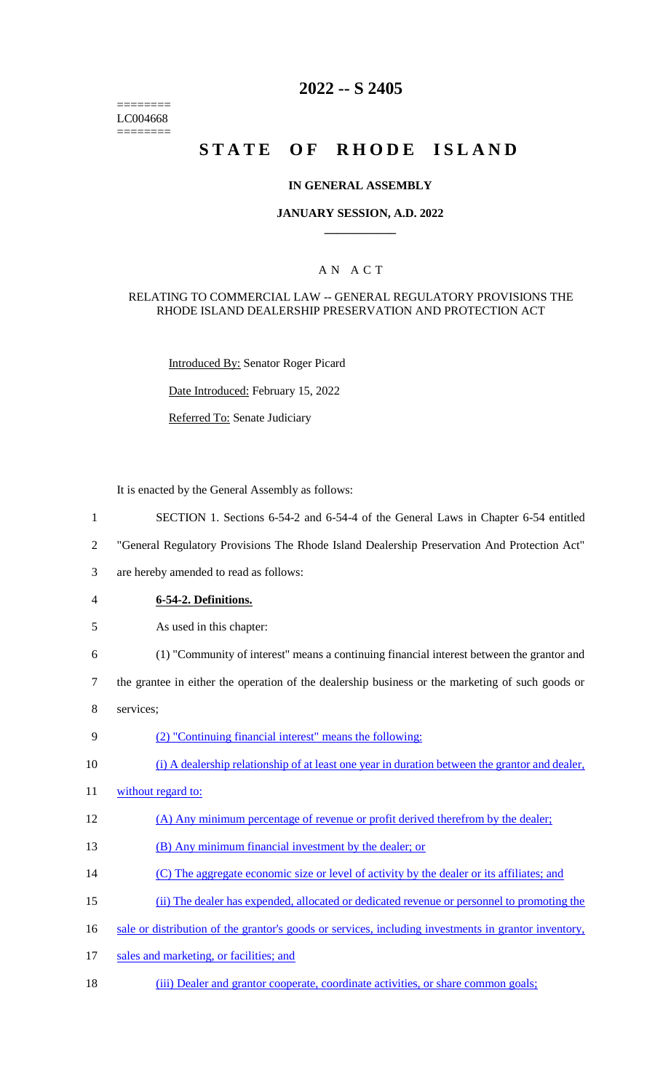======== LC004668 ========

# **2022 -- S 2405**

# **STATE OF RHODE ISLAND**

#### **IN GENERAL ASSEMBLY**

#### **JANUARY SESSION, A.D. 2022 \_\_\_\_\_\_\_\_\_\_\_\_**

### A N A C T

#### RELATING TO COMMERCIAL LAW -- GENERAL REGULATORY PROVISIONS THE RHODE ISLAND DEALERSHIP PRESERVATION AND PROTECTION ACT

Introduced By: Senator Roger Picard

Date Introduced: February 15, 2022

Referred To: Senate Judiciary

It is enacted by the General Assembly as follows:

- 1 SECTION 1. Sections 6-54-2 and 6-54-4 of the General Laws in Chapter 6-54 entitled
- 2 "General Regulatory Provisions The Rhode Island Dealership Preservation And Protection Act"
- 3 are hereby amended to read as follows:
- 4 **6-54-2. Definitions.**
- 5 As used in this chapter:
- 6 (1) "Community of interest" means a continuing financial interest between the grantor and
- 7 the grantee in either the operation of the dealership business or the marketing of such goods or
- 8 services;
- 9 (2) "Continuing financial interest" means the following:
- 10 (i) A dealership relationship of at least one year in duration between the grantor and dealer,
- 11 without regard to:
- 12 (A) Any minimum percentage of revenue or profit derived therefrom by the dealer;
- 13 (B) Any minimum financial investment by the dealer; or
- 14 (C) The aggregate economic size or level of activity by the dealer or its affiliates; and
- 15 (ii) The dealer has expended, allocated or dedicated revenue or personnel to promoting the
- 16 sale or distribution of the grantor's goods or services, including investments in grantor inventory,
- 17 sales and marketing, or facilities; and
- 18 (iii) Dealer and grantor cooperate, coordinate activities, or share common goals;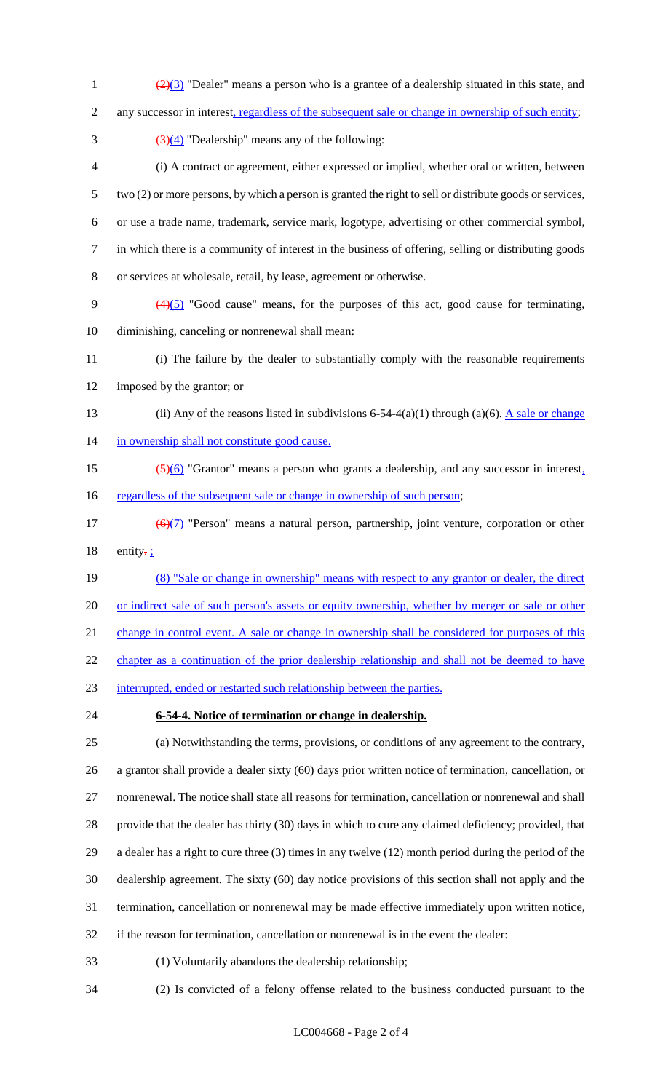- 1  $\left(\frac{2}{3}\right)$  "Dealer" means a person who is a grantee of a dealership situated in this state, and 2 any successor in interest, regardless of the subsequent sale or change in ownership of such entity;  $\frac{(3)(4)}{(2)(4)}$  "Dealership" means any of the following: (i) A contract or agreement, either expressed or implied, whether oral or written, between two (2) or more persons, by which a person is granted the right to sell or distribute goods or services, or use a trade name, trademark, service mark, logotype, advertising or other commercial symbol,
- in which there is a community of interest in the business of offering, selling or distributing goods
- or services at wholesale, retail, by lease, agreement or otherwise.
- 9  $(4)(5)$  "Good cause" means, for the purposes of this act, good cause for terminating, diminishing, canceling or nonrenewal shall mean:
- (i) The failure by the dealer to substantially comply with the reasonable requirements imposed by the grantor; or
- 13 (ii) Any of the reasons listed in subdivisions 6-54-4(a)(1) through (a)(6). A sale or change 14 in ownership shall not constitute good cause.
- 15  $\left( \frac{5}{6} \right)$  "Grantor" means a person who grants a dealership, and any successor in interest, 16 regardless of the subsequent sale or change in ownership of such person;
- 17  $(6)(7)$  "Person" means a natural person, partnership, joint venture, corporation or other 18 entity- $\frac{1}{2}$
- (8) "Sale or change in ownership" means with respect to any grantor or dealer, the direct or indirect sale of such person's assets or equity ownership, whether by merger or sale or other

21 change in control event. A sale or change in ownership shall be considered for purposes of this

22 chapter as a continuation of the prior dealership relationship and shall not be deemed to have

- interrupted, ended or restarted such relationship between the parties.
- 

# **6-54-4. Notice of termination or change in dealership.**

 (a) Notwithstanding the terms, provisions, or conditions of any agreement to the contrary, a grantor shall provide a dealer sixty (60) days prior written notice of termination, cancellation, or nonrenewal. The notice shall state all reasons for termination, cancellation or nonrenewal and shall provide that the dealer has thirty (30) days in which to cure any claimed deficiency; provided, that a dealer has a right to cure three (3) times in any twelve (12) month period during the period of the dealership agreement. The sixty (60) day notice provisions of this section shall not apply and the termination, cancellation or nonrenewal may be made effective immediately upon written notice, if the reason for termination, cancellation or nonrenewal is in the event the dealer:

- (1) Voluntarily abandons the dealership relationship;
-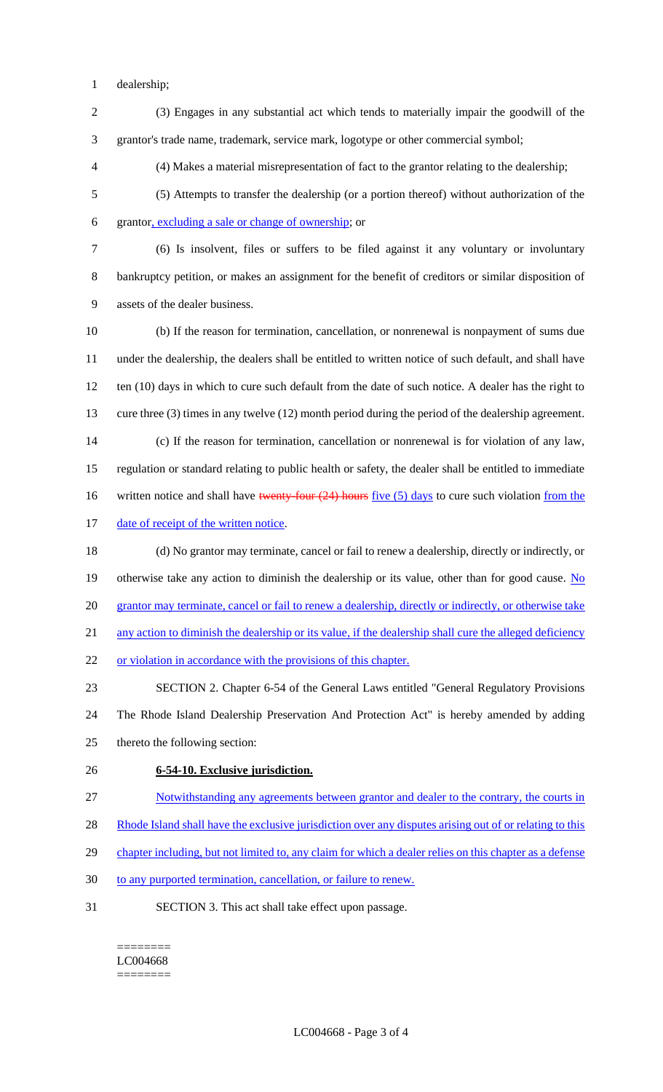- dealership;
- (3) Engages in any substantial act which tends to materially impair the goodwill of the grantor's trade name, trademark, service mark, logotype or other commercial symbol;
- (4) Makes a material misrepresentation of fact to the grantor relating to the dealership;
- (5) Attempts to transfer the dealership (or a portion thereof) without authorization of the grantor, excluding a sale or change of ownership; or
- 

 (6) Is insolvent, files or suffers to be filed against it any voluntary or involuntary bankruptcy petition, or makes an assignment for the benefit of creditors or similar disposition of assets of the dealer business.

- (b) If the reason for termination, cancellation, or nonrenewal is nonpayment of sums due under the dealership, the dealers shall be entitled to written notice of such default, and shall have 12 ten (10) days in which to cure such default from the date of such notice. A dealer has the right to cure three (3) times in any twelve (12) month period during the period of the dealership agreement. (c) If the reason for termination, cancellation or nonrenewal is for violation of any law, regulation or standard relating to public health or safety, the dealer shall be entitled to immediate 16 written notice and shall have twenty-four (24) hours five (5) days to cure such violation from the
- 17 date of receipt of the written notice.
- (d) No grantor may terminate, cancel or fail to renew a dealership, directly or indirectly, or 19 otherwise take any action to diminish the dealership or its value, other than for good cause. No 20 grantor may terminate, cancel or fail to renew a dealership, directly or indirectly, or otherwise take 21 any action to diminish the dealership or its value, if the dealership shall cure the alleged deficiency or violation in accordance with the provisions of this chapter.
- SECTION 2. Chapter 6-54 of the General Laws entitled "General Regulatory Provisions The Rhode Island Dealership Preservation And Protection Act" is hereby amended by adding thereto the following section:
- **6-54-10. Exclusive jurisdiction.**
- Notwithstanding any agreements between grantor and dealer to the contrary, the courts in
- 28 Rhode Island shall have the exclusive jurisdiction over any disputes arising out of or relating to this
- chapter including, but not limited to, any claim for which a dealer relies on this chapter as a defense
- to any purported termination, cancellation, or failure to renew.
- SECTION 3. This act shall take effect upon passage.

======== LC004668 ========